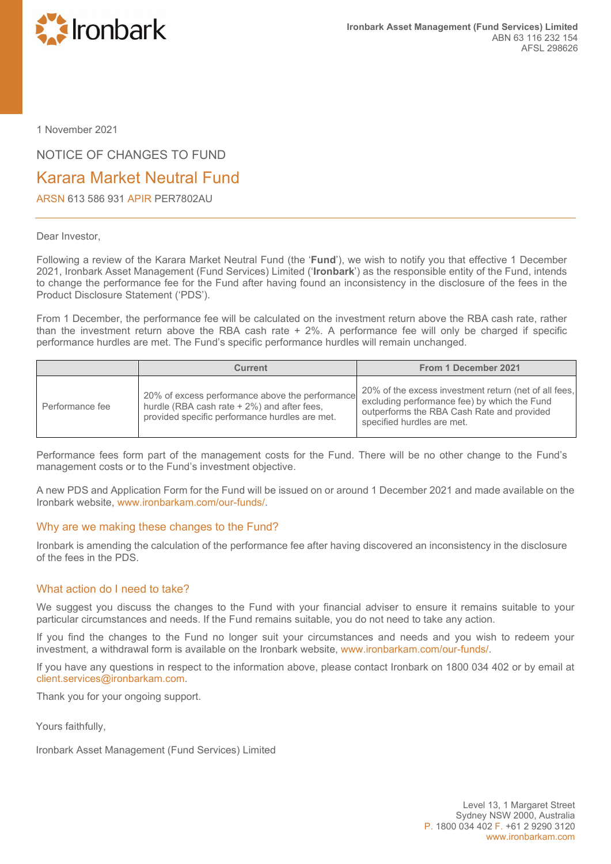

1 November 2021

NOTICE OF CHANGES TO FUND

## Karara Market Neutral Fund

ARSN 613 586 931 APIR PER7802AU

## Dear Investor,

Following a review of the Karara Market Neutral Fund (the '**Fund**'), we wish to notify you that effective 1 December 2021, Ironbark Asset Management (Fund Services) Limited ('**Ironbark**') as the responsible entity of the Fund, intends to change the performance fee for the Fund after having found an inconsistency in the disclosure of the fees in the Product Disclosure Statement ('PDS').

From 1 December, the performance fee will be calculated on the investment return above the RBA cash rate, rather than the investment return above the RBA cash rate + 2%. A performance fee will only be charged if specific performance hurdles are met. The Fund's specific performance hurdles will remain unchanged.

|                 | <b>Current</b>                                                                                                                                   | From 1 December 2021                                                                                                                                                              |
|-----------------|--------------------------------------------------------------------------------------------------------------------------------------------------|-----------------------------------------------------------------------------------------------------------------------------------------------------------------------------------|
| Performance fee | 20% of excess performance above the performance<br>hurdle (RBA cash rate + 2%) and after fees,<br>provided specific performance hurdles are met. | 20% of the excess investment return (net of all fees,<br>excluding performance fee) by which the Fund<br>outperforms the RBA Cash Rate and provided<br>specified hurdles are met. |

Performance fees form part of the management costs for the Fund. There will be no other change to the Fund's management costs or to the Fund's investment objective.

A new PDS and Application Form for the Fund will be issued on or around 1 December 2021 and made available on the Ironbark website, [www.ironbarkam.com/our-funds/.](http://www.ironbarkam.com/our-funds/)

## Why are we making these changes to the Fund?

Ironbark is amending the calculation of the performance fee after having discovered an inconsistency in the disclosure of the fees in the PDS.

## What action do I need to take?

We suggest you discuss the changes to the Fund with your financial adviser to ensure it remains suitable to your particular circumstances and needs. If the Fund remains suitable, you do not need to take any action.

If you find the changes to the Fund no longer suit your circumstances and needs and you wish to redeem your investment, a withdrawal form is available on the Ironbark website, [www.ironbarkam.com/our-funds/.](http://www.ironbarkam.com/our-funds/)

If you have any questions in respect to the information above, please contact Ironbark on 1800 034 402 or by email at [client.services@ironbarkam.com.](mailto:client.services@ironbarkam.com)

Thank you for your ongoing support.

Yours faithfully,

Ironbark Asset Management (Fund Services) Limited